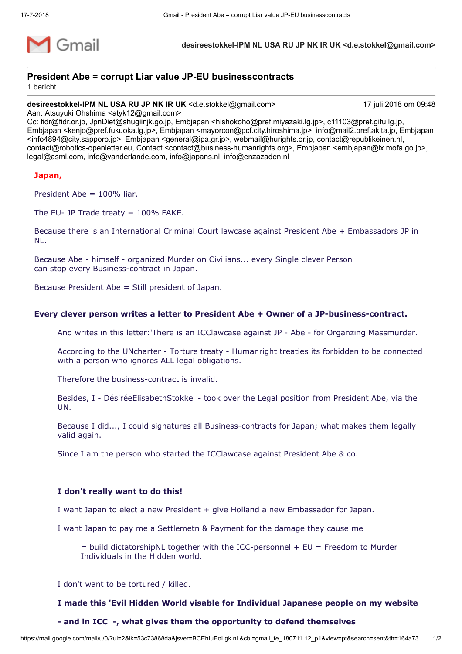

**desireestokkel-IPM NL USA RU JP NK IR UK <d.e.stokkel@gmail.com>**

# **President Abe = corrupt Liar value JP-EU businesscontracts**

1 bericht

**desireestokkel-IPM NL USA RU JP NK IR UK** <d.e.stokkel@gmail.com> 17 juli 2018 om 09:48

Aan: Atsuyuki Ohshima <atyk12@gmail.com>

Cc: fidr@fidr.or.jp, JpnDiet@shugiinjk.go.jp, Embjapan <hishokoho@pref.miyazaki.lg.jp>, c11103@pref.gifu.lg.jp, Embjapan <kenjo@pref.fukuoka.lg.jp>, Embjapan <mayorcon@pcf.city.hiroshima.jp>, info@mail2.pref.akita.jp, Embjapan <info4894@city.sapporo.jp>, Embjapan <general@ipa.gr.jp>, webmail@hurights.or.jp, contact@republikeinen.nl, contact@robotics-openletter.eu, Contact <contact@business-humanrights.org>, Embjapan <embjapan@lx.mofa.go.jp>, legal@asml.com, info@vanderlande.com, info@japans.nl, info@enzazaden.nl

## **Japan,**

President Abe = 100% liar.

The EU- JP Trade treaty  $= 100\%$  FAKE.

Because there is an International Criminal Court lawcase against President Abe + Embassadors JP in NL.

Because Abe - himself - organized Murder on Civilians... every Single clever Person can stop every Business-contract in Japan.

Because President Abe = Still president of Japan.

## **Every clever person writes a letter to President Abe + Owner of a JP-business-contract.**

And writes in this letter:'There is an ICClawcase against JP - Abe - for Organzing Massmurder.

According to the UNcharter - Torture treaty - Humanright treaties its forbidden to be connected with a person who ignores ALL legal obligations.

Therefore the business-contract is invalid.

Besides, I - DésiréeElisabethStokkel - took over the Legal position from President Abe, via the UN.

Because I did..., I could signatures all Business-contracts for Japan; what makes them legally valid again.

Since I am the person who started the ICClawcase against President Abe & co.

### **I don't really want to do this!**

I want Japan to elect a new President + give Holland a new Embassador for Japan.

I want Japan to pay me a Settlemetn & Payment for the damage they cause me

 $=$  build dictatorshipNL together with the ICC-personnel  $+$  EU  $=$  Freedom to Murder Individuals in the Hidden world.

I don't want to be tortured / killed.

### **I made this 'Evil Hidden World visable for Individual Japanese people on my website**

### **- and in ICC -, what gives them the opportunity to defend themselves**